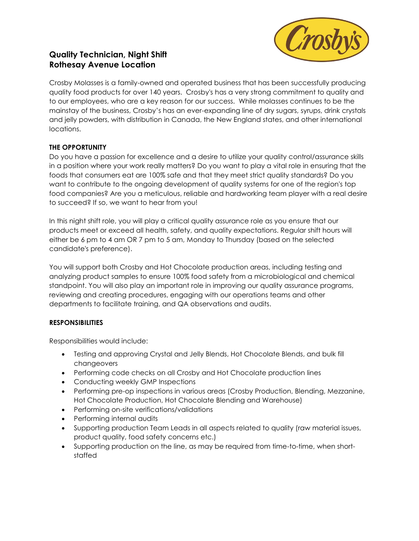

# **Quality Technician, Night Shift Rothesay Avenue Location**

Crosby Molasses is a family-owned and operated business that has been successfully producing quality food products for over 140 years. Crosby's has a very strong commitment to quality and to our employees, who are a key reason for our success. While molasses continues to be the mainstay of the business, Crosby's has an ever-expanding line of dry sugars, syrups, drink crystals and jelly powders, with distribution in Canada, the New England states, and other international locations.

## **THE OPPORTUNITY**

Do you have a passion for excellence and a desire to utilize your quality control/assurance skills in a position where your work really matters? Do you want to play a vital role in ensuring that the foods that consumers eat are 100% safe and that they meet strict quality standards? Do you want to contribute to the ongoing development of quality systems for one of the region's top food companies? Are you a meticulous, reliable and hardworking team player with a real desire to succeed? If so, we want to hear from you!

In this night shift role, you will play a critical quality assurance role as you ensure that our products meet or exceed all health, safety, and quality expectations. Regular shift hours will either be 6 pm to 4 am OR 7 pm to 5 am, Monday to Thursday (based on the selected candidate's preference).

You will support both Crosby and Hot Chocolate production areas, including testing and analyzing product samples to ensure 100% food safety from a microbiological and chemical standpoint. You will also play an important role in improving our quality assurance programs, reviewing and creating procedures, engaging with our operations teams and other departments to facilitate training, and QA observations and audits.

## **RESPONSIBILITIES**

Responsibilities would include:

- Testing and approving Crystal and Jelly Blends, Hot Chocolate Blends, and bulk fill changeovers
- Performing code checks on all Crosby and Hot Chocolate production lines
- Conducting weekly GMP Inspections
- Performing pre-op inspections in various areas (Crosby Production, Blending, Mezzanine, Hot Chocolate Production, Hot Chocolate Blending and Warehouse)
- Performing on-site verifications/validations
- Performing internal audits
- Supporting production Team Leads in all aspects related to quality (raw material issues, product quality, food safety concerns etc.)
- Supporting production on the line, as may be required from time-to-time, when shortstaffed